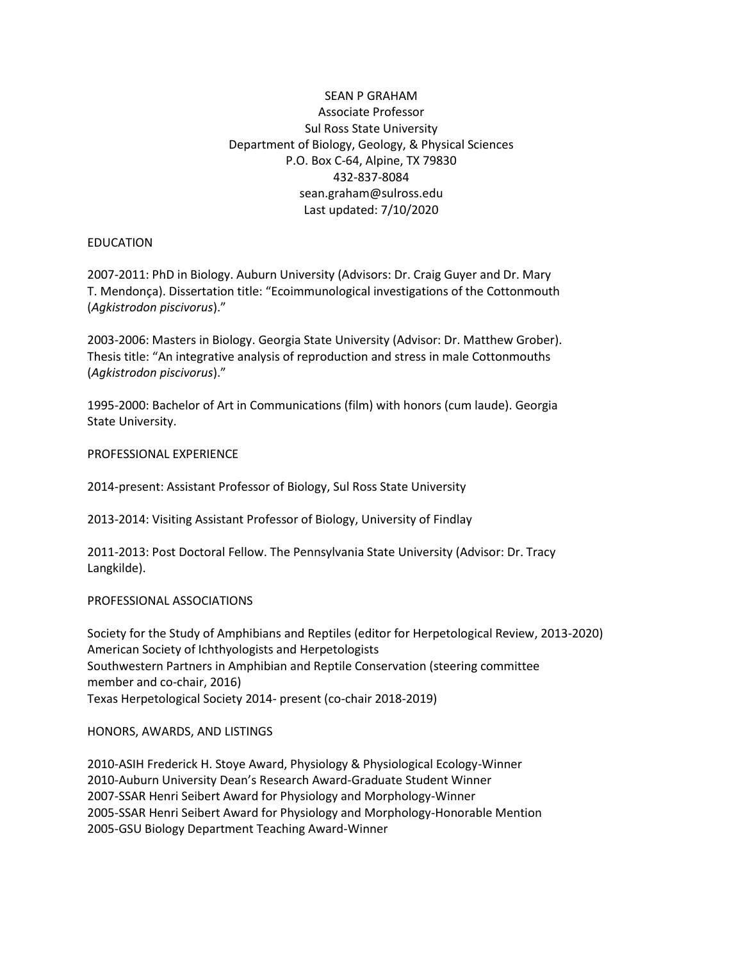# SEAN P GRAHAM Associate Professor Sul Ross State University Department of Biology, Geology, & Physical Sciences P.O. Box C-64, Alpine, TX 79830 432-837-8084 sean.graham@sulross.edu Last updated: 7/10/2020

## EDUCATION

2007-2011: PhD in Biology. Auburn University (Advisors: Dr. Craig Guyer and Dr. Mary T. Mendonça). Dissertation title: "Ecoimmunological investigations of the Cottonmouth (*Agkistrodon piscivorus*)."

2003-2006: Masters in Biology. Georgia State University (Advisor: Dr. Matthew Grober). Thesis title: "An integrative analysis of reproduction and stress in male Cottonmouths (*Agkistrodon piscivorus*)."

1995-2000: Bachelor of Art in Communications (film) with honors (cum laude). Georgia State University.

PROFESSIONAL EXPERIENCE

2014-present: Assistant Professor of Biology, Sul Ross State University

2013-2014: Visiting Assistant Professor of Biology, University of Findlay

2011-2013: Post Doctoral Fellow. The Pennsylvania State University (Advisor: Dr. Tracy Langkilde).

#### PROFESSIONAL ASSOCIATIONS

Society for the Study of Amphibians and Reptiles (editor for Herpetological Review, 2013-2020) American Society of Ichthyologists and Herpetologists Southwestern Partners in Amphibian and Reptile Conservation (steering committee member and co-chair, 2016) Texas Herpetological Society 2014- present (co-chair 2018-2019)

#### HONORS, AWARDS, AND LISTINGS

2010-ASIH Frederick H. Stoye Award, Physiology & Physiological Ecology-Winner 2010-Auburn University Dean's Research Award-Graduate Student Winner 2007-SSAR Henri Seibert Award for Physiology and Morphology-Winner 2005-SSAR Henri Seibert Award for Physiology and Morphology-Honorable Mention 2005-GSU Biology Department Teaching Award-Winner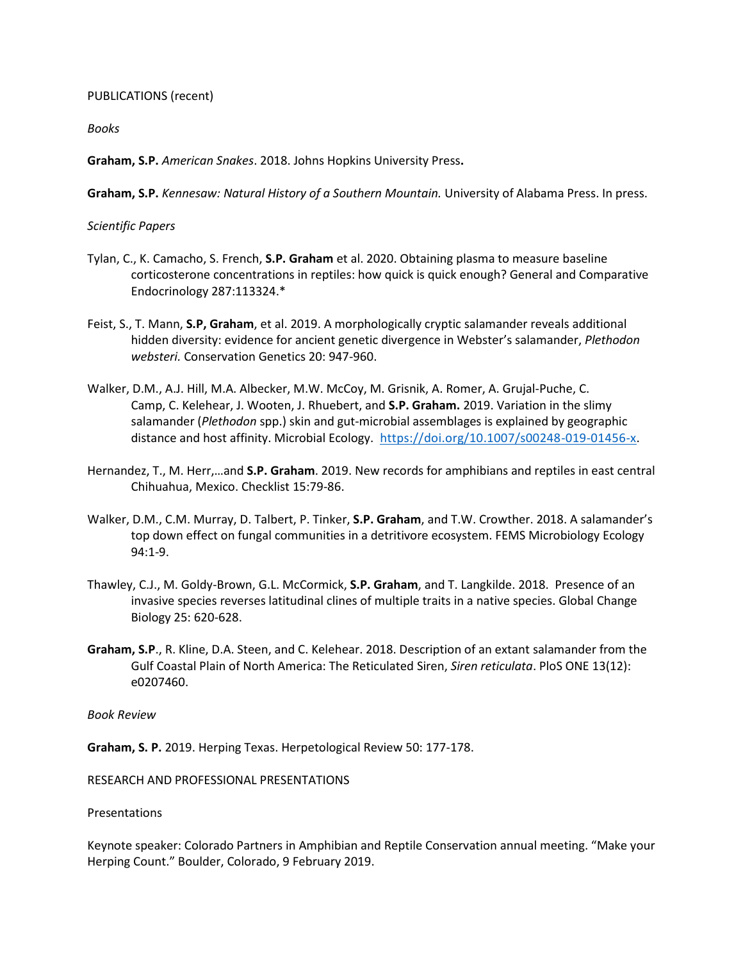PUBLICATIONS (recent)

*Books*

**Graham, S.P.** *American Snakes*. 2018. Johns Hopkins University Press**.**

**Graham, S.P.** *Kennesaw: Natural History of a Southern Mountain.* University of Alabama Press. In press.

## *Scientific Papers*

- Tylan, C., K. Camacho, S. French, **S.P. Graham** et al. 2020. Obtaining plasma to measure baseline corticosterone concentrations in reptiles: how quick is quick enough? General and Comparative Endocrinology 287:113324.\*
- Feist, S., T. Mann, **S.P, Graham**, et al. 2019. A morphologically cryptic salamander reveals additional hidden diversity: evidence for ancient genetic divergence in Webster's salamander, *Plethodon websteri.* Conservation Genetics 20: 947-960.
- Walker, D.M., A.J. Hill, M.A. Albecker, M.W. McCoy, M. Grisnik, A. Romer, A. Grujal-Puche, C. Camp, C. Kelehear, J. Wooten, J. Rhuebert, and **S.P. Graham.** 2019. Variation in the slimy salamander (*Plethodon* spp.) skin and gut-microbial assemblages is explained by geographic distance and host affinity. Microbial Ecology. [https://doi.org/10.1007/s00248-019-01456-x.](https://doi.org/10.1007/s00248-019-01456-x)
- Hernandez, T., M. Herr,…and **S.P. Graham**. 2019. New records for amphibians and reptiles in east central Chihuahua, Mexico. Checklist 15:79-86.
- Walker, D.M., C.M. Murray, D. Talbert, P. Tinker, **S.P. Graham**, and T.W. Crowther. 2018. A salamander's top down effect on fungal communities in a detritivore ecosystem. FEMS Microbiology Ecology 94:1-9.
- Thawley, C.J., M. Goldy-Brown, G.L. McCormick, **S.P. Graham**, and T. Langkilde. 2018. Presence of an invasive species reverses latitudinal clines of multiple traits in a native species. Global Change Biology 25: 620-628.
- **Graham, S.P**., R. Kline, D.A. Steen, and C. Kelehear. 2018. Description of an extant salamander from the Gulf Coastal Plain of North America: The Reticulated Siren, *Siren reticulata*. PloS ONE 13(12): e0207460.

*Book Review*

**Graham, S. P.** 2019. Herping Texas. Herpetological Review 50: 177-178.

RESEARCH AND PROFESSIONAL PRESENTATIONS

Presentations

Keynote speaker: Colorado Partners in Amphibian and Reptile Conservation annual meeting. "Make your Herping Count." Boulder, Colorado, 9 February 2019.